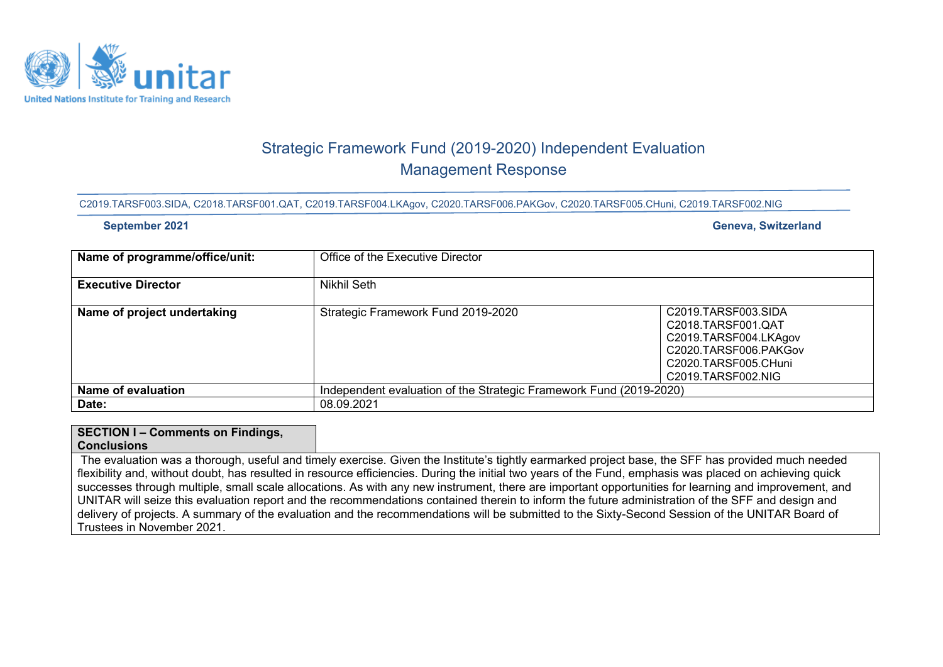

# Strategic Framework Fund (2019-2020) Independent Evaluation Management Response

#### C2019.TARSF003.SIDA, C2018.TARSF001.QAT, C2019.TARSF004.LKAgov, C2020.TARSF006.PAKGov, C2020.TARSF005.CHuni, C2019.TARSF002.NIG

### **September 2021 Geneva, Switzerland**

| Name of programme/office/unit: | Office of the Executive Director                                   |                                                                                                                                           |  |  |  |
|--------------------------------|--------------------------------------------------------------------|-------------------------------------------------------------------------------------------------------------------------------------------|--|--|--|
| <b>Executive Director</b>      | Nikhil Seth                                                        |                                                                                                                                           |  |  |  |
| Name of project undertaking    | Strategic Framework Fund 2019-2020                                 | C2019.TARSF003.SIDA<br>C2018.TARSF001.QAT<br>C2019.TARSF004.LKAgov<br>C2020.TARSF006.PAKGov<br>C2020.TARSF005.CHuni<br>C2019.TARSF002.NIG |  |  |  |
| <b>Name of evaluation</b>      | Independent evaluation of the Strategic Framework Fund (2019-2020) |                                                                                                                                           |  |  |  |
| Date:                          | 08.09.2021                                                         |                                                                                                                                           |  |  |  |

## **SECTION I – Comments on Findings,**

#### **Conclusions**

The evaluation was a thorough, useful and timely exercise. Given the Institute's tightly earmarked project base, the SFF has provided much needed flexibility and, without doubt, has resulted in resource efficiencies. During the initial two years of the Fund, emphasis was placed on achieving quick successes through multiple, small scale allocations. As with any new instrument, there are important opportunities for learning and improvement, and UNITAR will seize this evaluation report and the recommendations contained therein to inform the future administration of the SFF and design and delivery of projects. A summary of the evaluation and the recommendations will be submitted to the Sixty-Second Session of the UNITAR Board of Trustees in November 2021.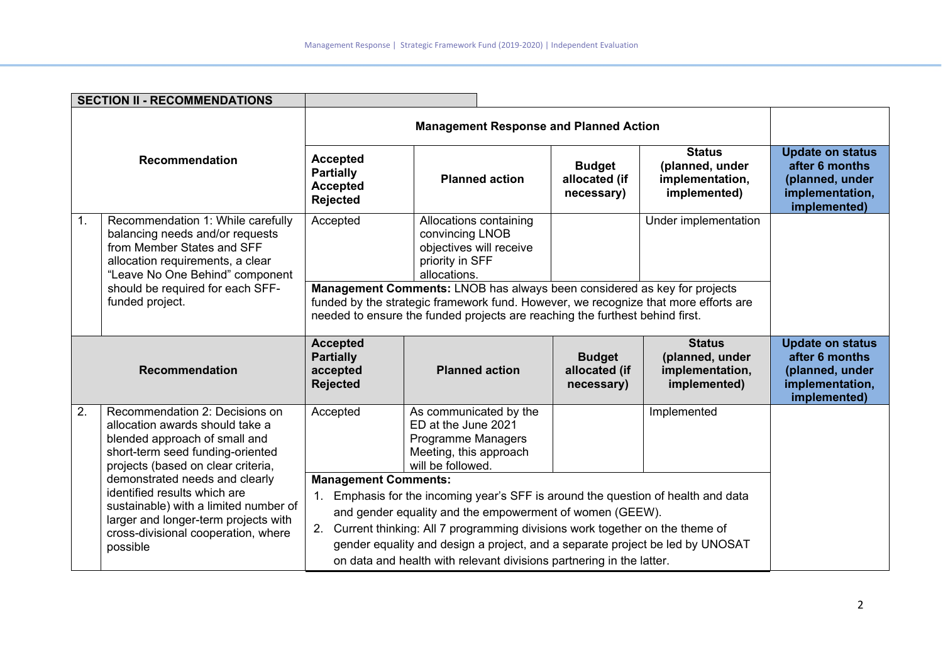|                       | <b>SECTION II - RECOMMENDATIONS</b>                                                                                                                                       |                                                                                                                                                                                                                                                 |                                                                                                                                                                 |                                              |                                                                     |                                                                                                 |
|-----------------------|---------------------------------------------------------------------------------------------------------------------------------------------------------------------------|-------------------------------------------------------------------------------------------------------------------------------------------------------------------------------------------------------------------------------------------------|-----------------------------------------------------------------------------------------------------------------------------------------------------------------|----------------------------------------------|---------------------------------------------------------------------|-------------------------------------------------------------------------------------------------|
| Recommendation        |                                                                                                                                                                           | <b>Management Response and Planned Action</b>                                                                                                                                                                                                   |                                                                                                                                                                 |                                              |                                                                     |                                                                                                 |
|                       |                                                                                                                                                                           | <b>Accepted</b><br><b>Partially</b><br><b>Accepted</b><br>Rejected                                                                                                                                                                              | <b>Planned action</b>                                                                                                                                           | <b>Budget</b><br>allocated (if<br>necessary) | <b>Status</b><br>(planned, under<br>implementation,<br>implemented) | <b>Update on status</b><br>after 6 months<br>(planned, under<br>implementation,<br>implemented) |
| 1.                    | Recommendation 1: While carefully<br>balancing needs and/or requests<br>from Member States and SFF<br>allocation requirements, a clear<br>"Leave No One Behind" component | Accepted                                                                                                                                                                                                                                        | Allocations containing<br>convincing LNOB<br>objectives will receive<br>priority in SFF<br>allocations.                                                         |                                              | Under implementation                                                |                                                                                                 |
|                       | should be required for each SFF-<br>funded project.                                                                                                                       | Management Comments: LNOB has always been considered as key for projects<br>funded by the strategic framework fund. However, we recognize that more efforts are<br>needed to ensure the funded projects are reaching the furthest behind first. |                                                                                                                                                                 |                                              |                                                                     |                                                                                                 |
| <b>Recommendation</b> |                                                                                                                                                                           | <b>Accepted</b><br><b>Partially</b><br>accepted<br><b>Rejected</b>                                                                                                                                                                              | <b>Planned action</b>                                                                                                                                           | <b>Budget</b><br>allocated (if<br>necessary) | <b>Status</b><br>(planned, under<br>implementation,<br>implemented) | <b>Update on status</b><br>after 6 months<br>(planned, under<br>implementation,<br>implemented) |
| 2.                    | Recommendation 2: Decisions on<br>allocation awards should take a<br>blended approach of small and<br>short-term seed funding-oriented                                    | Accepted                                                                                                                                                                                                                                        | As communicated by the<br>ED at the June 2021<br>Programme Managers<br>Meeting, this approach                                                                   |                                              | Implemented                                                         |                                                                                                 |
|                       | projects (based on clear criteria,                                                                                                                                        |                                                                                                                                                                                                                                                 | will be followed.                                                                                                                                               |                                              |                                                                     |                                                                                                 |
|                       | demonstrated needs and clearly                                                                                                                                            | <b>Management Comments:</b>                                                                                                                                                                                                                     |                                                                                                                                                                 |                                              |                                                                     |                                                                                                 |
|                       | identified results which are<br>sustainable) with a limited number of                                                                                                     | $1_{\cdot}$                                                                                                                                                                                                                                     | Emphasis for the incoming year's SFF is around the question of health and data                                                                                  |                                              |                                                                     |                                                                                                 |
|                       | larger and longer-term projects with                                                                                                                                      |                                                                                                                                                                                                                                                 | and gender equality and the empowerment of women (GEEW).                                                                                                        |                                              |                                                                     |                                                                                                 |
|                       | cross-divisional cooperation, where<br>possible                                                                                                                           |                                                                                                                                                                                                                                                 | 2. Current thinking: All 7 programming divisions work together on the theme of<br>gender equality and design a project, and a separate project be led by UNOSAT |                                              |                                                                     |                                                                                                 |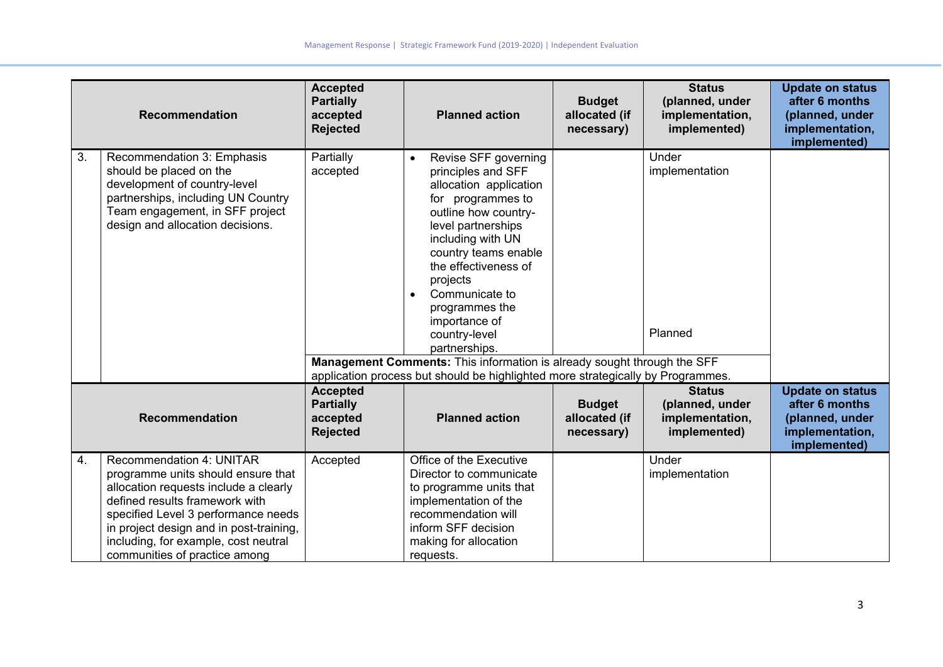|                  | <b>Recommendation</b>                                                                                                                                                                                                                                                                                       | <b>Accepted</b><br><b>Partially</b><br>accepted<br><b>Rejected</b> | <b>Planned action</b>                                                                                                                                                                                                                                                                                                        | <b>Budget</b><br>allocated (if<br>necessary) | <b>Status</b><br>(planned, under<br>implementation,<br>implemented) | <b>Update on status</b><br>after 6 months<br>(planned, under<br>implementation,<br>implemented) |
|------------------|-------------------------------------------------------------------------------------------------------------------------------------------------------------------------------------------------------------------------------------------------------------------------------------------------------------|--------------------------------------------------------------------|------------------------------------------------------------------------------------------------------------------------------------------------------------------------------------------------------------------------------------------------------------------------------------------------------------------------------|----------------------------------------------|---------------------------------------------------------------------|-------------------------------------------------------------------------------------------------|
| 3.               | Recommendation 3: Emphasis<br>should be placed on the<br>development of country-level<br>partnerships, including UN Country<br>Team engagement, in SFF project<br>design and allocation decisions.                                                                                                          | Partially<br>accepted                                              | Revise SFF governing<br>principles and SFF<br>allocation application<br>for programmes to<br>outline how country-<br>level partnerships<br>including with UN<br>country teams enable<br>the effectiveness of<br>projects<br>Communicate to<br>$\bullet$<br>programmes the<br>importance of<br>country-level<br>partnerships. |                                              | Under<br>implementation<br>Planned                                  |                                                                                                 |
|                  |                                                                                                                                                                                                                                                                                                             |                                                                    | Management Comments: This information is already sought through the SFF<br>application process but should be highlighted more strategically by Programmes.                                                                                                                                                                   |                                              |                                                                     |                                                                                                 |
|                  | <b>Recommendation</b>                                                                                                                                                                                                                                                                                       | <b>Accepted</b><br><b>Partially</b><br>accepted<br><b>Rejected</b> | <b>Planned action</b>                                                                                                                                                                                                                                                                                                        | <b>Budget</b><br>allocated (if<br>necessary) | <b>Status</b><br>(planned, under<br>implementation,<br>implemented) | <b>Update on status</b><br>after 6 months<br>(planned, under<br>implementation,<br>implemented) |
| $\overline{4}$ . | <b>Recommendation 4: UNITAR</b><br>programme units should ensure that<br>allocation requests include a clearly<br>defined results framework with<br>specified Level 3 performance needs<br>in project design and in post-training,<br>including, for example, cost neutral<br>communities of practice among | Accepted                                                           | Office of the Executive<br>Director to communicate<br>to programme units that<br>implementation of the<br>recommendation will<br>inform SFF decision<br>making for allocation<br>requests.                                                                                                                                   |                                              | Under<br>implementation                                             |                                                                                                 |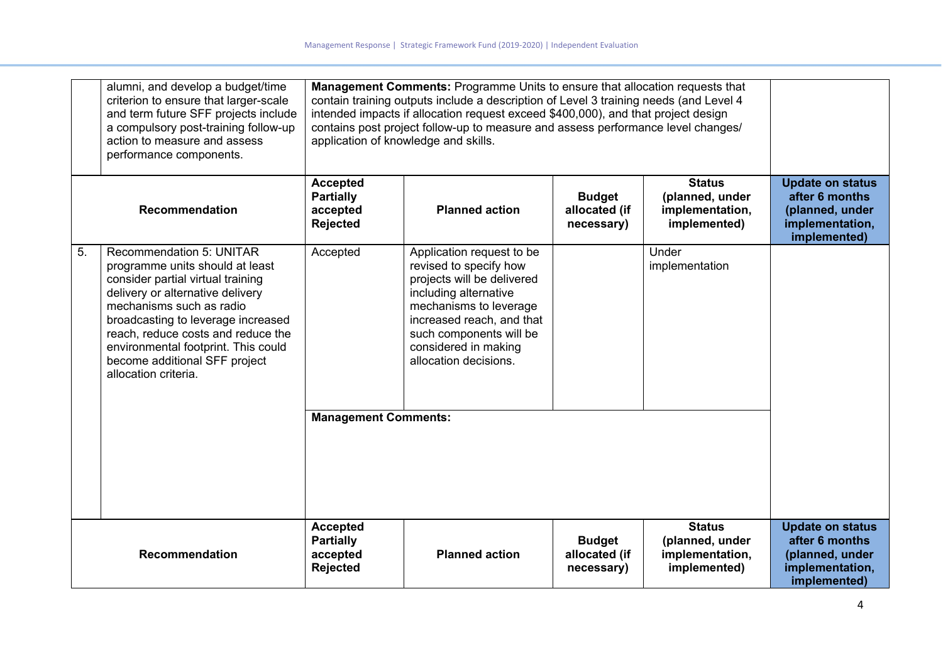|    | alumni, and develop a budget/time<br>criterion to ensure that larger-scale<br>and term future SFF projects include<br>a compulsory post-training follow-up<br>action to measure and assess<br>performance components.                                                                                                                               | <b>Management Comments: Programme Units to ensure that allocation requests that</b><br>contain training outputs include a description of Level 3 training needs (and Level 4<br>intended impacts if allocation request exceed \$400,000), and that project design<br>contains post project follow-up to measure and assess performance level changes/<br>application of knowledge and skills. |                                                                                                                                                                                                                                               |                                              |                                                                     |                                                                                                 |
|----|-----------------------------------------------------------------------------------------------------------------------------------------------------------------------------------------------------------------------------------------------------------------------------------------------------------------------------------------------------|-----------------------------------------------------------------------------------------------------------------------------------------------------------------------------------------------------------------------------------------------------------------------------------------------------------------------------------------------------------------------------------------------|-----------------------------------------------------------------------------------------------------------------------------------------------------------------------------------------------------------------------------------------------|----------------------------------------------|---------------------------------------------------------------------|-------------------------------------------------------------------------------------------------|
|    | Recommendation                                                                                                                                                                                                                                                                                                                                      | <b>Accepted</b><br><b>Partially</b><br>accepted<br>Rejected                                                                                                                                                                                                                                                                                                                                   | <b>Planned action</b>                                                                                                                                                                                                                         | <b>Budget</b><br>allocated (if<br>necessary) | <b>Status</b><br>(planned, under<br>implementation,<br>implemented) | <b>Update on status</b><br>after 6 months<br>(planned, under<br>implementation,<br>implemented) |
| 5. | <b>Recommendation 5: UNITAR</b><br>programme units should at least<br>consider partial virtual training<br>delivery or alternative delivery<br>mechanisms such as radio<br>broadcasting to leverage increased<br>reach, reduce costs and reduce the<br>environmental footprint. This could<br>become additional SFF project<br>allocation criteria. | Accepted                                                                                                                                                                                                                                                                                                                                                                                      | Application request to be<br>revised to specify how<br>projects will be delivered<br>including alternative<br>mechanisms to leverage<br>increased reach, and that<br>such components will be<br>considered in making<br>allocation decisions. |                                              | Under<br>implementation                                             |                                                                                                 |
|    |                                                                                                                                                                                                                                                                                                                                                     | <b>Management Comments:</b>                                                                                                                                                                                                                                                                                                                                                                   |                                                                                                                                                                                                                                               |                                              |                                                                     |                                                                                                 |
|    | <b>Recommendation</b>                                                                                                                                                                                                                                                                                                                               | <b>Accepted</b><br><b>Partially</b><br>accepted<br>Rejected                                                                                                                                                                                                                                                                                                                                   | <b>Planned action</b>                                                                                                                                                                                                                         | <b>Budget</b><br>allocated (if<br>necessary) | <b>Status</b><br>(planned, under<br>implementation,<br>implemented) | <b>Update on status</b><br>after 6 months<br>(planned, under<br>implementation,<br>implemented) |